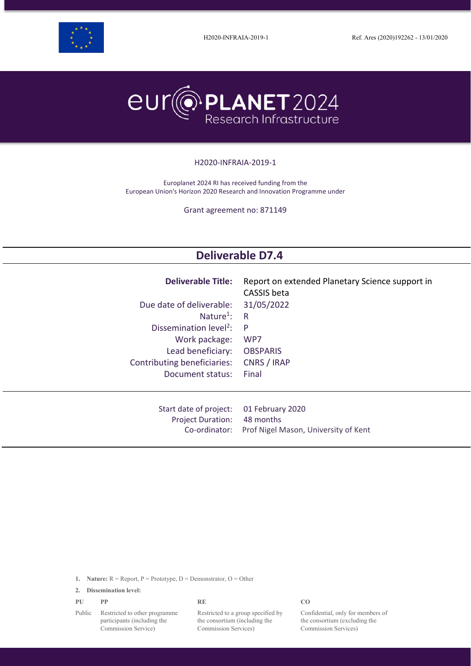



#### H2020-INFRAIA-2019-1

Europlanet 2024 RI has received funding from the European Union's Horizon 2020 Research and Innovation Programme under

Grant agreement no: 871149

# **Deliverable D7.4**

| <b>Deliverable Title:</b><br>Due date of deliverable:<br>Nature <sup>1</sup> :<br>Dissemination level <sup>2</sup> :<br>Work package:<br>Lead beneficiary:<br>Contributing beneficiaries:<br>Document status: | Report on extended Planetary Science support in<br>CASSIS beta<br>31/05/2022<br>R<br>P<br>WP7<br><b>OBSPARIS</b><br>CNRS / IRAP<br>Final |
|---------------------------------------------------------------------------------------------------------------------------------------------------------------------------------------------------------------|------------------------------------------------------------------------------------------------------------------------------------------|
| Start date of project:                                                                                                                                                                                        | 01 February 2020                                                                                                                         |
| <b>Project Duration:</b>                                                                                                                                                                                      | 48 months                                                                                                                                |
| Co-ordinator:                                                                                                                                                                                                 | Prof Nigel Mason, University of Kent                                                                                                     |

**1. Nature:** R = Report, P = Prototype, D = Demonstrator, O = Other

**2. Dissemination level:**

Commission Service)

| PU     | <b>PP</b>                     | RF                                 | CO  |
|--------|-------------------------------|------------------------------------|-----|
| Public | Restricted to other programme | Restricted to a group specified by | Coi |
|        | participants (including the   | the consortium (including the      | the |

to a group specified by the consortium (including the Commission Services)

Confidential, only for members of the consortium (excluding the Commission Services)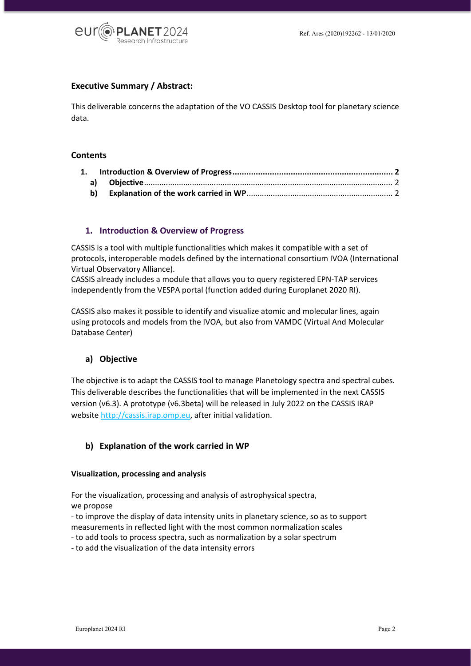

## **Executive Summary / Abstract:**

This deliverable concerns the adaptation of the VO CASSIS Desktop tool for planetary science data.

#### **Contents**

## <span id="page-1-0"></span>**1. Introduction & Overview of Progress**

CASSIS is a tool with multiple functionalities which makes it compatible with a set of protocols, interoperable models defined by the international consortium IVOA (International Virtual Observatory Alliance).

CASSIS already includes a module that allows you to query registered EPN-TAP services independently from the VESPA portal (function added during Europlanet 2020 RI).

CASSIS also makes it possible to identify and visualize atomic and molecular lines, again using protocols and models from the IVOA, but also from VAMDC (Virtual And Molecular Database Center)

## <span id="page-1-1"></span>**a) Objective**

The objective is to adapt the CASSIS tool to manage Planetology spectra and spectral cubes. This deliverable describes the functionalities that will be implemented in the next CASSIS version (v6.3). A prototype (v6.3beta) will be released in July 2022 on the CASSIS IRAP websit[e http://cassis.irap.omp.eu,](http://cassis.irap.omp.eu/) after initial validation.

## <span id="page-1-2"></span>**b) Explanation of the work carried in WP**

#### **Visualization, processing and analysis**

For the visualization, processing and analysis of astrophysical spectra, we propose

- to improve the display of data intensity units in planetary science, so as to support measurements in reflected light with the most common normalization scales

- to add tools to process spectra, such as normalization by a solar spectrum

- to add the visualization of the data intensity errors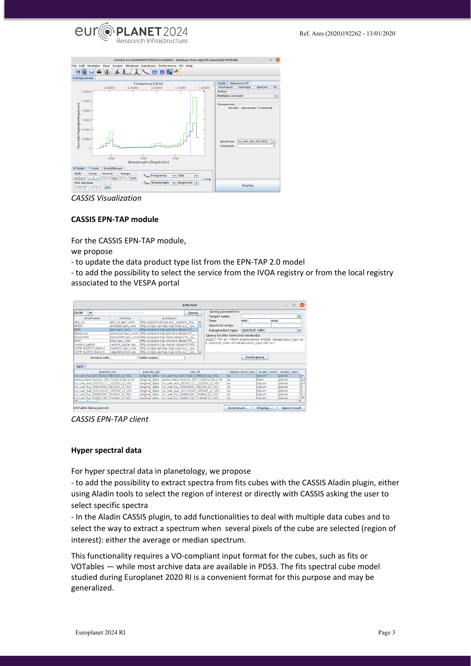



*CASSIS Visualization*

#### **CASSIS EPN-TAP module**

For the CASSIS EPN-TAP module,

we propose

- to update the data product type list from the EPN-TAP 2.0 model

- to add the possibility to select the service from the IVOA registry or from the local registry associated to the VESPA portal

| <b>EPN-TAP</b><br>$\Box$                           |                                                         |                   |                                        |        |  |                                                  |           |                  |                                                              | œ            |                               |  |
|----------------------------------------------------|---------------------------------------------------------|-------------------|----------------------------------------|--------|--|--------------------------------------------------|-----------|------------------|--------------------------------------------------------------|--------------|-------------------------------|--|
| <b>ISON</b><br>http://dc.zah.uni-heidelberg.de/tap |                                                         |                   |                                        | Query  |  | Query parameters                                 |           |                  |                                                              |              |                               |  |
| shortname                                          | schema                                                  |                   | accessurl                              |        |  | <b>Target name</b>                               |           |                  |                                                              |              | ٠                             |  |
| abs cs                                             | abs cs.epn core                                         |                   | http://spectrum.iaa.es/ system /ta     |        |  | <b>Time</b>                                      |           | min              | max                                                          |              |                               |  |
| AMDA                                               | amdadb.epn core                                         |                   | http://cdpp-epntap.irap.omp.eu/ sys    |        |  | <b>Spectral range</b>                            |           |                  |                                                              |              |                               |  |
| <b>APIS</b>                                        | apis, epn core                                          |                   | http://voparis-tap-planeto.obspm.fr/   |        |  | <b>Dataproduct type</b>                          |           | spectral cube    |                                                              |              | ۰                             |  |
| BaseCom                                            | basecom.epn core                                        |                   | http://voparis-tap-planeto.obspm.fr/   |        |  | <b>Query for the selected service(s)</b>         |           |                  |                                                              |              |                               |  |
| <b>bass2000</b>                                    | bass2000.epn core http://voparis-tap-helio.obspm.fr/ sy |                   |                                        |        |  |                                                  |           |                  | SELECT TOP 20 * FROM #tablename# WHERE (dataproduct type LIK |              |                               |  |
| <b>BDIP</b>                                        | bdip.epn core                                           |                   | http://voparis-tap-planeto.obspm.fr/   |        |  | E 'spectral cube' OR dataproduct type LIKE 'sc') |           |                  |                                                              |              |                               |  |
| cassini jupiter                                    | cassini jupiter.ep                                      |                   | http://voparis-tap-maser.obspm.fr:80/  |        |  |                                                  |           |                  |                                                              |              |                               |  |
| CDPP ALERTS (demo)                                 | swalerts.epn core                                       |                   | http://cdpp-epntap.irap.omp.eu/ sys    |        |  |                                                  |           |                  |                                                              |              |                               |  |
| <b>CDPP ALERTS Detecti</b>                         | cdppdetection.ep                                        |                   | http://cdpp-epntap.irap.omp.eu/ sys    |        |  |                                                  |           |                  |                                                              |              |                               |  |
| <b>Service URL</b>                                 |                                                         | <b>Table name</b> |                                        |        |  |                                                  |           | Send query       |                                                              |              |                               |  |
| apis                                               |                                                         |                   |                                        |        |  |                                                  |           |                  |                                                              |              |                               |  |
|                                                    |                                                         |                   |                                        |        |  |                                                  |           |                  |                                                              |              |                               |  |
| granule uid                                        |                                                         | granule gid       |                                        | obs id |  |                                                  |           | dataproduct type | target name                                                  | target class |                               |  |
| co uvis fuv 20170313 084103 L2 V01                 |                                                         | original data     | co uvis fuv 20170313 084103 L2 V01     |        |  |                                                  | sc.       |                  | Saturn                                                       | planet       | $\overline{2}$ $\overline{2}$ |  |
| exeriv.mars.mod.21.20171025.lv.02.vr.00            |                                                         | original data     | exeuv.mars.mod.21.20171025.lv.02.vr.00 |        |  |                                                  | lsc.      |                  | Mars                                                         | planet       | $\frac{2}{2}$                 |  |
| co uvis euv 20161111 122203 L2 V01                 |                                                         | original data     | co uvis euv 20161111 122203 L2 V01     |        |  |                                                  | <b>sc</b> |                  | Saturn                                                       | planet       |                               |  |
| co uvis fuv 20060609 082240 L2 V01                 |                                                         | original data     | co uvis fuv 20060609 082240 L2 V01     |        |  |                                                  | <b>sc</b> |                  | Saturn                                                       | planet       |                               |  |
| co uvis euv 20110203 195400 L2 V01                 |                                                         | original data     | co uvis euv 20110203 195400 L2 V01     |        |  |                                                  | <b>sc</b> |                  | Saturn                                                       | planet       | $\frac{1}{\sqrt{2}}$          |  |
| co uvis fuv 20080206 163804 L2 V01                 |                                                         | original data     | co uvis fuv 20080206 163804 L2 V01     |        |  |                                                  | <b>SC</b> |                  | Saturn                                                       | planet       |                               |  |
| co uvis fuv 20081230 214546 12 V01                 |                                                         | original data     | co uvis fuy 20081230 214546 12 V01     |        |  |                                                  | <b>sc</b> |                  | Saturn                                                       | planet       | $\mathbf{E}$                  |  |
| VOTable data parsed                                |                                                         |                   |                                        |        |  |                                                  | Download  |                  | Display                                                      | Open result  |                               |  |

*CASSIS EPN-TAP client* 

#### **Hyper spectral data**

For hyper spectral data in planetology, we propose

- to add the possibility to extract spectra from fits cubes with the CASSIS Aladin plugin, either using Aladin tools to select the region of interest or directly with CASSIS asking the user to select specific spectra

- In the Aladin CASSIS plugin, to add functionalities to deal with multiple data cubes and to select the way to extract a spectrum when several pixels of the cube are selected (region of interest): either the average or median spectrum.

This functionality requires a VO-compliant input format for the cubes, such as fits or VOTables — while most archive data are available in PDS3. The fits spectral cube model studied during Europlanet 2020 RI is a convenient format for this purpose and may be generalized.